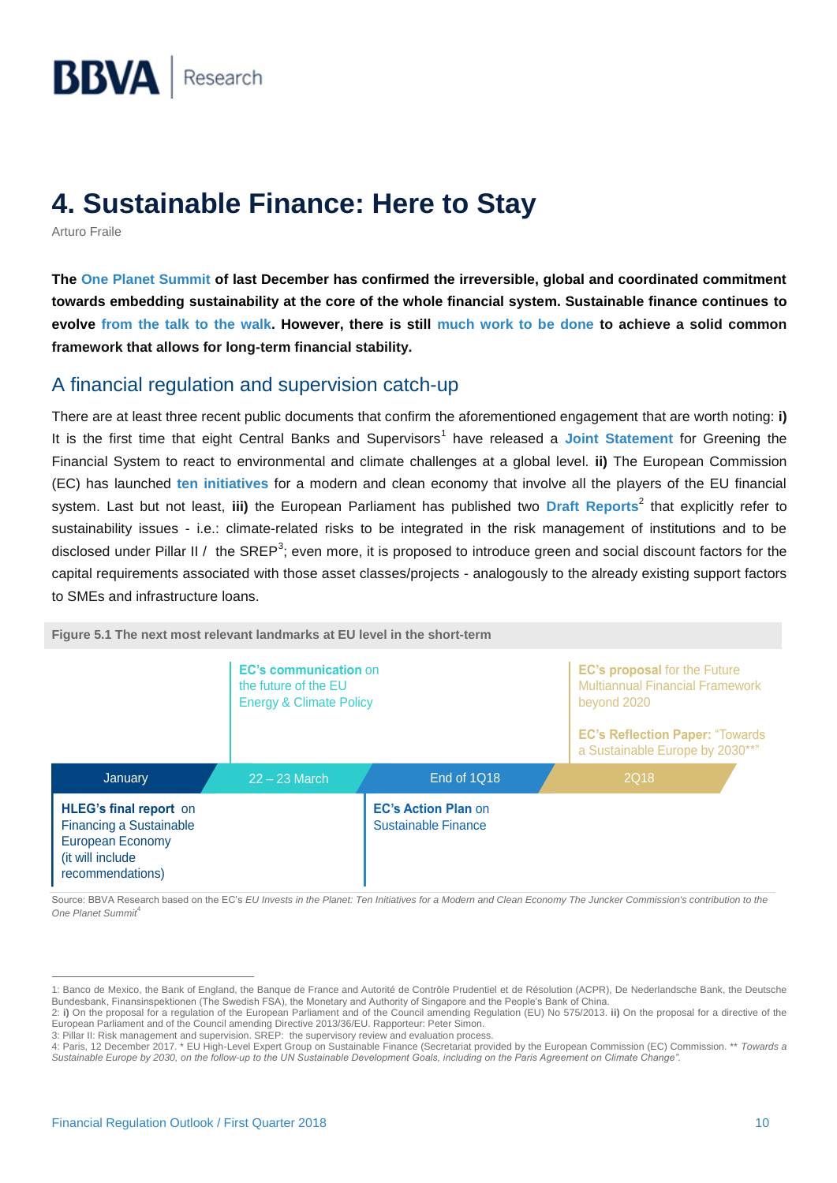# **4. Sustainable Finance: Here to Stay**

Arturo Fraile

**The [One Planet Summit](https://www.oneplanetsummit.fr/en/) of last December has confirmed the irreversible, global and coordinated commitment towards embedding sustainability at the core of the whole financial system. Sustainable finance continues to evolve [from the talk to the walk.](https://www.bbva.com/en/climate-change-convention-time-walk-talk/) However, there is still [much work to be done](https://www.bbvaresearch.com/en/publicaciones/de-las-musas-al-teatro-cop24-2/) to achieve a solid common framework that allows for long-term financial stability.**

# A financial regulation and supervision catch-up

There are at least three recent public documents that confirm the aforementioned engagement that are worth noting: **i)** It is the first time that eight Central Banks and Supervisors<sup>1</sup> have released a [Joint Statement](https://www.dnb.nl/binaries/JS_tcm46-369559.pdf?2017121219) for Greening the Financial System to react to environmental and climate challenges at a global level. **ii)** The European Commission (EC) has launched **[ten initiatives](https://ec.europa.eu/commission/sites/beta-political/files/one-planet-summit-ten-initiatives-modern-clean-economy_en.pdf)** for a modern and clean economy that involve all the players of the EU financial system. Last but not least, iii) the European Parliament has published two [Draft Reports](http://www.europarl.europa.eu/committees/en/econ/draft-reports.html)<sup>2</sup> that explicitly refer to sustainability issues - i.e.: climate-related risks to be integrated in the risk management of institutions and to be disclosed under Pillar II / the SREP<sup>3</sup>; even more, it is proposed to introduce green and social discount factors for the capital requirements associated with those asset classes/projects - analogously to the already existing support factors to SMEs and infrastructure loans.



**Figure 5.1 The next most relevant landmarks at EU level in the short-term**

Source: BBVA Research based on the EC's *EU Invests in the Planet: Ten Initiatives for a Modern and Clean Economy The Juncker Commission's contribution to the One Planet Summit*<sup>4</sup>

3: Pillar II: Risk management and supervision. SREP: the supervisory review and evaluation process.

 $\overline{a}$ 

<sup>1:</sup> Banco de Mexico, the Bank of England, the Banque de France and Autorité de Contrôle Prudentiel et de Résolution (ACPR), De Nederlandsche Bank, the Deutsche Bundesbank, Finansinspektionen (The Swedish FSA), the Monetary and Authority of Singapore and the People's Bank of China.

<sup>2:</sup> **i)** On the proposal for a regulation of the European Parliament and of the Council [amending Regulation \(EU\) No 575/2013.](http://www.europarl.europa.eu/sides/getDoc.do?pubRef=-%2f%2fEP%2f%2fNONSGML%2bCOMPARL%2bPE-613.409%2b03%2bDOC%2bPDF%2bV0%2f%2fEN) **ii)** On the proposal for a directive of the European Parliament and of the Counci[l amending Directive 2013/36/EU.](http://www.europarl.europa.eu/sides/getDoc.do?pubRef=-%2f%2fEP%2f%2fNONSGML%2bCOMPARL%2bPE-613.410%2b01%2bDOC%2bPDF%2bV0%2f%2fEN) Rapporteur: Peter Simon.

<sup>4:</sup> Paris, 12 December 2017. \* EU High-Level Expert Group on Sustainable Finance (Secretariat provided by the European Commission (EC) Commission. \*\* *Towards a Sustainable Europe by 2030, on the follow-up to the UN Sustainable Development Goals, including on the Paris Agreement on Climate Change".*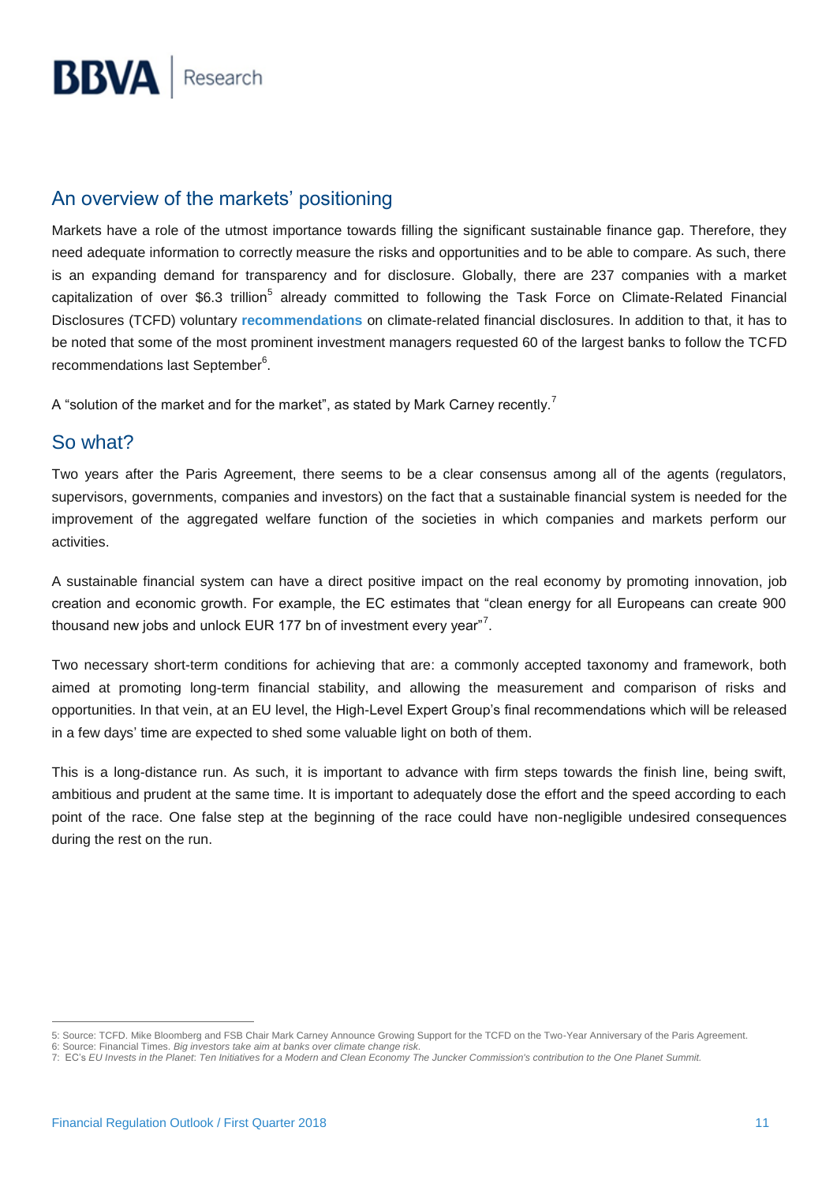# An overview of the markets' positioning

Markets have a role of the utmost importance towards filling the significant sustainable finance gap. Therefore, they need adequate information to correctly measure the risks and opportunities and to be able to compare. As such, there is an expanding demand for transparency and for disclosure. Globally, there are 237 companies with a market capitalization of over \$6.3 trillion<sup>5</sup> already committed to following the Task Force on Climate-Related Financial Disclosures (TCFD) voluntary **[recommendations](https://www.fsb-tcfd.org/publications/)** on climate-related financial disclosures. In addition to that, it has to be noted that some of the most prominent investment managers requested 60 of the largest banks to follow the TCFD recommendations last September<sup>6</sup>.

A "solution of the market and for the market", as stated by Mark Carney recently.<sup>7</sup>

# So what?

Two years after the Paris Agreement, there seems to be a clear consensus among all of the agents (regulators, supervisors, governments, companies and investors) on the fact that a sustainable financial system is needed for the improvement of the aggregated welfare function of the societies in which companies and markets perform our activities.

A sustainable financial system can have a direct positive impact on the real economy by promoting innovation, job creation and economic growth. For example, the EC estimates that "clean energy for all Europeans can create 900 thousand new jobs and unlock EUR 177 bn of investment every year"<sup>7</sup>.

Two necessary short-term conditions for achieving that are: a commonly accepted taxonomy and framework, both aimed at promoting long-term financial stability, and allowing the measurement and comparison of risks and opportunities. In that vein, at an EU level, the High-Level Expert Group's final recommendations which will be released in a few days' time are expected to shed some valuable light on both of them.

This is a long-distance run. As such, it is important to advance with firm steps towards the finish line, being swift, ambitious and prudent at the same time. It is important to adequately dose the effort and the speed according to each point of the race. One false step at the beginning of the race could have non-negligible undesired consequences during the rest on the run.

 $\overline{a}$ 5: Source: TCFD. Mike Bloomberg and FSB Chair Mark Carney Announce Growing Support for the TCFD on the Two-Year Anniversary of the Paris Agreement.

<sup>6:</sup> Source[: Financial Times.](https://www.ft.com/content/a2616a52-988b-11e7-a652-cde3f882dd7b) *Big investors take aim at banks over climate change risk.*

<sup>7:</sup> EC's *EU Invests in the Planet*: *Ten Initiatives for a Modern and Clean Economy The Juncker Commission's contribution to the One Planet Summit.*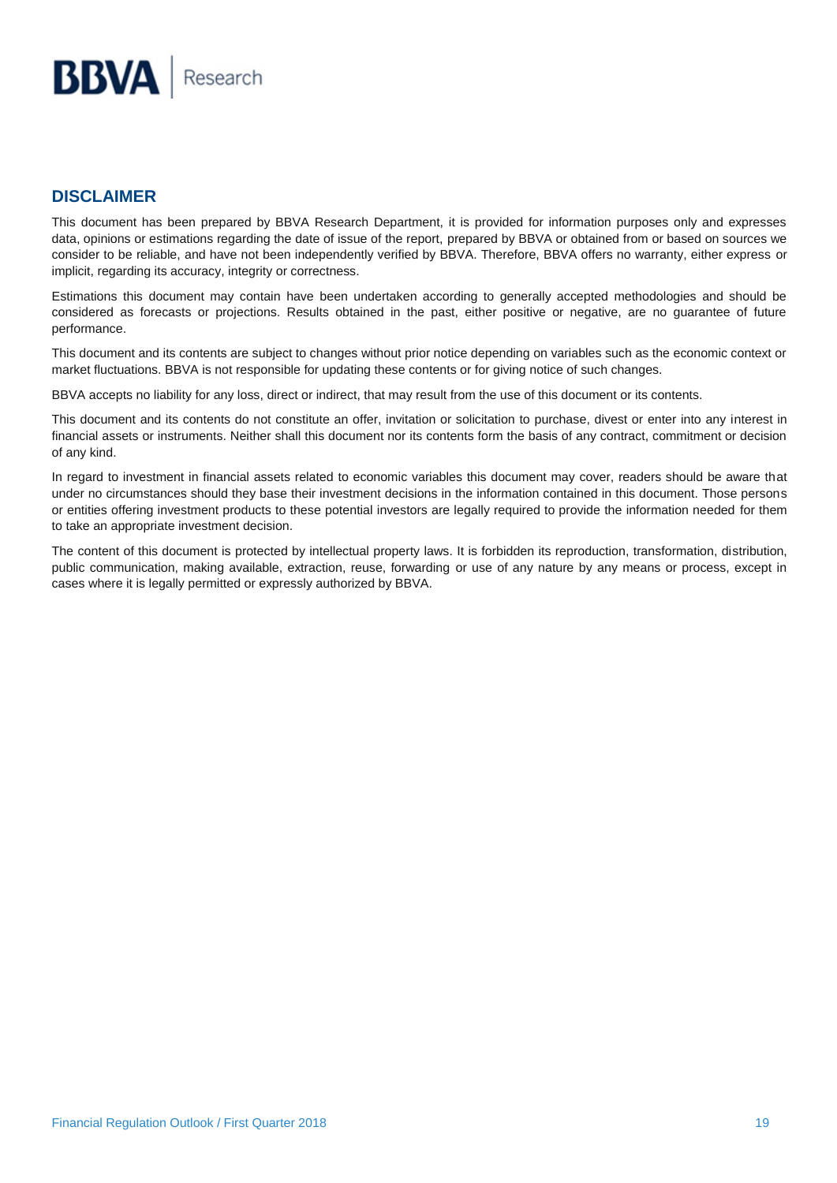#### **DISCLAIMER**

This document has been prepared by BBVA Research Department, it is provided for information purposes only and expresses data, opinions or estimations regarding the date of issue of the report, prepared by BBVA or obtained from or based on sources we consider to be reliable, and have not been independently verified by BBVA. Therefore, BBVA offers no warranty, either express or implicit, regarding its accuracy, integrity or correctness.

Estimations this document may contain have been undertaken according to generally accepted methodologies and should be considered as forecasts or projections. Results obtained in the past, either positive or negative, are no guarantee of future performance.

This document and its contents are subject to changes without prior notice depending on variables such as the economic context or market fluctuations. BBVA is not responsible for updating these contents or for giving notice of such changes.

BBVA accepts no liability for any loss, direct or indirect, that may result from the use of this document or its contents.

This document and its contents do not constitute an offer, invitation or solicitation to purchase, divest or enter into any interest in financial assets or instruments. Neither shall this document nor its contents form the basis of any contract, commitment or decision of any kind.

In regard to investment in financial assets related to economic variables this document may cover, readers should be aware that under no circumstances should they base their investment decisions in the information contained in this document. Those persons or entities offering investment products to these potential investors are legally required to provide the information needed for them to take an appropriate investment decision.

The content of this document is protected by intellectual property laws. It is forbidden its reproduction, transformation, distribution, public communication, making available, extraction, reuse, forwarding or use of any nature by any means or process, except in cases where it is legally permitted or expressly authorized by BBVA.